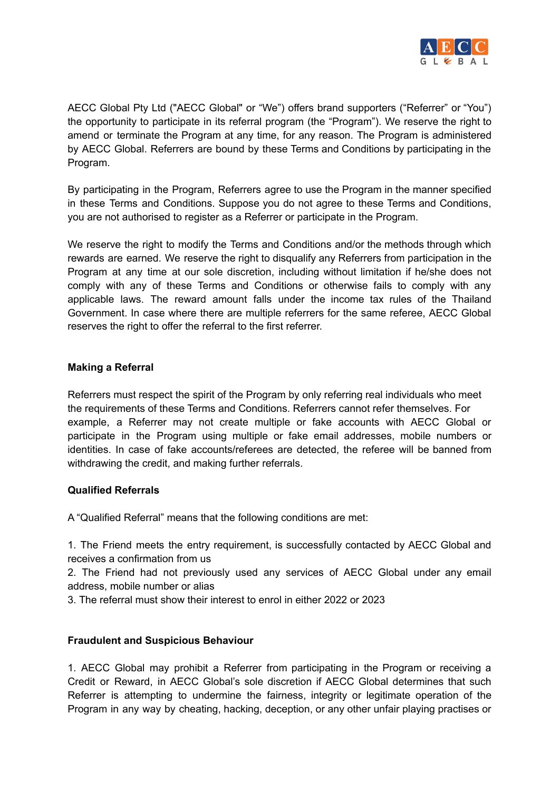

AECC Global Pty Ltd ("AECC Global" or "We") offers brand supporters ("Referrer" or "You") the opportunity to participate in its referral program (the "Program"). We reserve the right to amend or terminate the Program at any time, for any reason. The Program is administered by AECC Global. Referrers are bound by these Terms and Conditions by participating in the Program.

By participating in the Program, Referrers agree to use the Program in the manner specified in these Terms and Conditions. Suppose you do not agree to these Terms and Conditions, you are not authorised to register as a Referrer or participate in the Program.

We reserve the right to modify the Terms and Conditions and/or the methods through which rewards are earned. We reserve the right to disqualify any Referrers from participation in the Program at any time at our sole discretion, including without limitation if he/she does not comply with any of these Terms and Conditions or otherwise fails to comply with any applicable laws. The reward amount falls under the income tax rules of the Thailand Government. In case where there are multiple referrers for the same referee, AECC Global reserves the right to offer the referral to the first referrer.

## **Making a Referral**

Referrers must respect the spirit of the Program by only referring real individuals who meet the requirements of these Terms and Conditions. Referrers cannot refer themselves. For example, a Referrer may not create multiple or fake accounts with AECC Global or participate in the Program using multiple or fake email addresses, mobile numbers or identities. In case of fake accounts/referees are detected, the referee will be banned from withdrawing the credit, and making further referrals.

## **Qualified Referrals**

A "Qualified Referral" means that the following conditions are met:

1. The Friend meets the entry requirement, is successfully contacted by AECC Global and receives a confirmation from us

2. The Friend had not previously used any services of AECC Global under any email address, mobile number or alias

3. The referral must show their interest to enrol in either 2022 or 2023

## **Fraudulent and Suspicious Behaviour**

1. AECC Global may prohibit a Referrer from participating in the Program or receiving a Credit or Reward, in AECC Global's sole discretion if AECC Global determines that such Referrer is attempting to undermine the fairness, integrity or legitimate operation of the Program in any way by cheating, hacking, deception, or any other unfair playing practises or